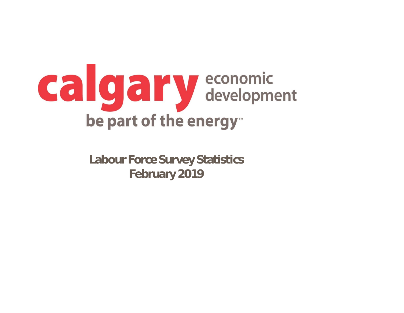

**Labour Force Survey Statistics February 2019**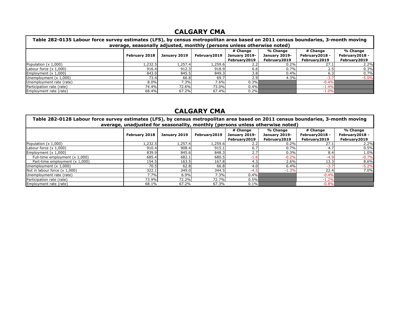| Table 282-0135 Labour force survey estimates (LFS), by census metropolitan area based on 2011 census boundaries, 3-month moving |                      |              |              |                               |                               |                                 |                                 |  |  |
|---------------------------------------------------------------------------------------------------------------------------------|----------------------|--------------|--------------|-------------------------------|-------------------------------|---------------------------------|---------------------------------|--|--|
| average, seasonally adjusted, monthly (persons unless otherwise noted)                                                          |                      |              |              |                               |                               |                                 |                                 |  |  |
|                                                                                                                                 |                      |              |              | # Change                      | % Change                      | # Change                        | % Change                        |  |  |
|                                                                                                                                 | <b>February 2018</b> | January 2019 | February2019 | January 2019-<br>February2019 | January 2019-<br>February2019 | February2018 -<br>February 2019 | February 2018 -<br>February2019 |  |  |
| Population $(x 1,000)$                                                                                                          | L,232.5              | 1,257.4      | 1,259.6      | 2.2                           | 0.2%                          | 27.1                            | 2.2%                            |  |  |
|                                                                                                                                 |                      |              |              |                               |                               |                                 |                                 |  |  |
| Labour force $(x 1,000)$                                                                                                        | 916.4                | 912.3        | 918.9        | 6.6                           | 0.7%                          | د.∠                             | 0.3%                            |  |  |
| Employment $(x 1,000)$                                                                                                          | 843.0                | 845.5        | 849.3        | 3.8I                          | 0.4%                          | 6.3                             | 0.7%                            |  |  |
| Unemployment $(x 1,000)$                                                                                                        | 73.4                 | 66.8         | 69.7         | 2.9                           | 4.3%                          | $-3.7$                          | $-5.0%$                         |  |  |
| Unemployment rate (rate)                                                                                                        | 8.0%                 | 7.3%         | 7.6%         | 0.3%                          |                               | $-0.4%$                         |                                 |  |  |
| Participation rate (rate)                                                                                                       | 74.4%                | 72.6%        | 73.0%        | 0.4%                          |                               | $-1.4%$                         |                                 |  |  |
| Employment rate (rate)                                                                                                          | 68.4%                | 67.2%        | 67.4%        | 0.2%                          |                               | $-1.0%$                         |                                 |  |  |

| Table 282-0128 Labour force survey estimates (LFS), by census metropolitan area based on 2011 census boundaries, 3-month moving<br>average, unadjusted for seasonality, monthly (persons unless otherwise noted) |                      |              |               |                                           |                                           |                                             |                                             |  |  |
|------------------------------------------------------------------------------------------------------------------------------------------------------------------------------------------------------------------|----------------------|--------------|---------------|-------------------------------------------|-------------------------------------------|---------------------------------------------|---------------------------------------------|--|--|
|                                                                                                                                                                                                                  | <b>February 2018</b> | January 2019 | February 2019 | # Change<br>January 2019-<br>February2019 | % Change<br>January 2019-<br>February2019 | # Change<br>February 2018 -<br>February2019 | % Change<br>February 2018 -<br>February2019 |  |  |
| Population $(x 1,000)$                                                                                                                                                                                           | L,232.5              | 1,257.4      | 1,259.6       |                                           | 0.2%                                      | 27.1                                        | 2.2%                                        |  |  |
| Labour force $(x 1,000)$                                                                                                                                                                                         | 910.4                | 908.4        | 915.1         | 6.7                                       | 0.7%                                      | 4.7                                         | 0.5%                                        |  |  |
| Employment $(x 1,000)$                                                                                                                                                                                           | 839.9                | 845.6        | 848.3         | 2.7                                       | 0.3%                                      | 8.4                                         | 1.0%                                        |  |  |
| Full-time employment $(x 1,000)$                                                                                                                                                                                 | 685.4                | 682.1        | 680.5         | -1.6                                      | $-0.2%$                                   | $-4.9$                                      | $-0.7%$                                     |  |  |
| Part-time employment (x 1,000)                                                                                                                                                                                   | 154.5                | 163.5        | 167.8         | 4.3                                       | 2.6%                                      | 13.3                                        | 8.6%                                        |  |  |
| Unemployment $(x 1,000)$                                                                                                                                                                                         | 70.5                 | 62.8         | 66.8          | 4.0                                       | 6.4%                                      | $-3.7$                                      | $-5.2%$                                     |  |  |
| Not in labour force $(x 1,000)$                                                                                                                                                                                  | 322.1                | 349.0        | 344.5         | $-4.5$                                    | $-1.3%$                                   | 22.4                                        | 7.0%                                        |  |  |
| Unemployment rate (rate)                                                                                                                                                                                         | 7.7%                 | 6.9%         | 7.3%          | $0.4\%$                                   |                                           | $-0.4%$                                     |                                             |  |  |
| Participation rate (rate)                                                                                                                                                                                        | 73.9%                | 72.2%        | 72.7%         | $0.5\%$                                   |                                           | $-1.2%$                                     |                                             |  |  |
| Employment rate (rate)                                                                                                                                                                                           | 68.1%                | 67.2%        | 67.3%         | $0.1\%$                                   |                                           | $-0.8%$                                     |                                             |  |  |

### **CALGARY CMA**

### **CALGARY CMA**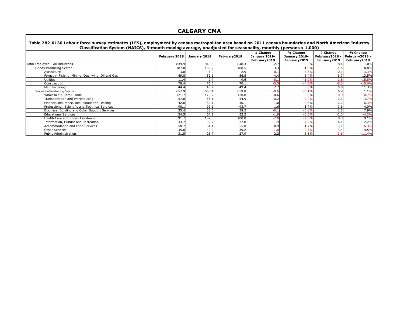| Table 282-0130 Labour force survey estimates (LFS), employment by census metropolitan area based on 2011 census boundaries and North American Industry<br>Classification System (NAICS), 3-month moving average, unadjusted for seasonality, monthly (persons x 1,000) |               |              |               |                                            |                                            |                                             |                                             |  |  |
|------------------------------------------------------------------------------------------------------------------------------------------------------------------------------------------------------------------------------------------------------------------------|---------------|--------------|---------------|--------------------------------------------|--------------------------------------------|---------------------------------------------|---------------------------------------------|--|--|
|                                                                                                                                                                                                                                                                        | February 2018 | January 2019 | February 2019 | # Change<br>January 2019-<br>February 2019 | % Change<br>January 2019-<br>February 2019 | # Change<br>February2018 -<br>February 2019 | % Change<br>February 2018 -<br>February2019 |  |  |
| Total Employed - All Industries                                                                                                                                                                                                                                        | 839.9         | 845.6        | 848.3         | 2.7                                        | 0.3%                                       | 8.4                                         | 1.0%                                        |  |  |
| Goods-Producing Sector                                                                                                                                                                                                                                                 | 187.0         | 185.2        | 188.5         | 3.3                                        | 1.8%                                       |                                             | 0.8%                                        |  |  |
| Agriculture                                                                                                                                                                                                                                                            | 3.0           | 3.0          | 2.9           | $-0.1$                                     | $-3.3%$                                    | $-0.1$                                      | $-3.3%$                                     |  |  |
| Forestry, Fishing, Mining, Quarrying, Oil and Gas                                                                                                                                                                                                                      | 49.8          | 52.1         | 56.5          | 4.4                                        | 8.4%                                       | 6.7                                         | 13.5%                                       |  |  |
| <b>Utilities</b>                                                                                                                                                                                                                                                       | 11.4          | 9.7          | 9.6           | $-0.1$                                     | $-1.0%$                                    | $-1.8$                                      | $-15.8%$                                    |  |  |
| Construction                                                                                                                                                                                                                                                           | 78.4          | 73.6         | 70.1          | $-3.5$                                     | $-4.8%$                                    | $-8.3$                                      | $-10.6%$                                    |  |  |
| Manufacturing                                                                                                                                                                                                                                                          | 44.4          | 46.7         | 49.4          | 2.7                                        | 5.8%                                       | 5.0                                         | 11.3%                                       |  |  |
| Services-Producing Sector                                                                                                                                                                                                                                              | 652.9         | 660.4        | 659.8         | $-0.6$                                     | $-0.1%$                                    | 6.9                                         | 1.1%                                        |  |  |
| Wholesale & Retail Trade                                                                                                                                                                                                                                               | 121.7         | 120.2        | 120.8         | 0.6                                        | 0.5%                                       | $-0.9$                                      | $-0.7%$                                     |  |  |
| Transportation and Warehousing                                                                                                                                                                                                                                         | 57.0          | 55.1         | 54.9          | $-0.2$                                     | $-0.4%$                                    | $-2.1$                                      | $-3.7%$                                     |  |  |
| Finance, Insurance, Real Estate and Leasing                                                                                                                                                                                                                            | 42.8          | 39.1         | 40.1          | 1.0                                        | 2.6%                                       | $-2.7$                                      | $-6.3%$                                     |  |  |
| Professional, Scientific and Technical Services                                                                                                                                                                                                                        | 90.1          | 92.1         | 93.7          | 1.6                                        | 1.7%                                       | 3.6                                         | 4.0%                                        |  |  |
| Business, Building and Other Support Services                                                                                                                                                                                                                          | 35.4          | 38.3         | 38.2          | $-0.1$                                     | $-0.3%$                                    | 2.8                                         | 7.9%                                        |  |  |
| <b>Educational Services</b>                                                                                                                                                                                                                                            | 54.5          | 54.1         | 52.2          | $-1.9$                                     | $-3.5%$                                    | $-2.3$                                      | $-4.2%$                                     |  |  |
| Health Care and Social Assistance                                                                                                                                                                                                                                      | 91.7          | 102.0        | 100.0         | $-2.0$                                     | $-2.0%$                                    | 8.3                                         | 9.1%                                        |  |  |
| Information, Culture and Recreation                                                                                                                                                                                                                                    | 33.7          | 39.7         | 37.8          | $-1.9$                                     | $-4.8%$                                    | 4.1                                         | 12.2%                                       |  |  |
| Accommodation and Food Services                                                                                                                                                                                                                                        | 58.7          | 54.1         | 55.0          | 0.9                                        | 1.7%                                       | $-3.7$                                      | $-6.3%$                                     |  |  |
| <b>Other Services</b>                                                                                                                                                                                                                                                  | 35.8          | 40.2         | 39.2          | $-1.0$                                     | $-2.5%$                                    | 3.4                                         | 9.5%                                        |  |  |
| Public Administration                                                                                                                                                                                                                                                  | 31.5          | 25.7         | 27.9          | 2.2                                        | 8.6%                                       | $-3.6$                                      | $-11.4%$                                    |  |  |

### **CALGARY CMA**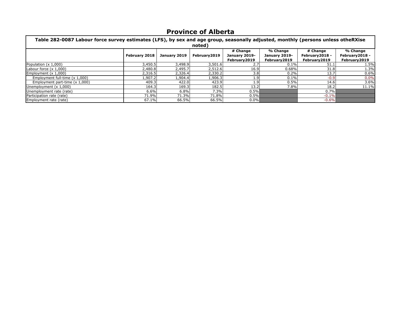| Table 282-0087 Labour force survey estimates (LFS), by sex and age group, seasonally adjusted, monthly (persons unless otheRXise |                      |              |                         |                                           |                                           |                                             |                                              |  |  |
|----------------------------------------------------------------------------------------------------------------------------------|----------------------|--------------|-------------------------|-------------------------------------------|-------------------------------------------|---------------------------------------------|----------------------------------------------|--|--|
|                                                                                                                                  | <b>February 2018</b> | January 2019 | noted)<br>February 2019 | # Change<br>January 2019-<br>February2019 | % Change<br>January 2019-<br>February2019 | # Change<br>February2018 -<br>February 2019 | % Change<br>February 2018 -<br>February 2019 |  |  |
| Population (x 1,000)                                                                                                             | 3,450.5              | 3,498.9      | 3,501.6                 | 2.7                                       | 0.1%                                      | 51.                                         | 1.5%                                         |  |  |
| Labour force $(x 1,000)$                                                                                                         | 2,480.8              | 2,495.7      | 2,512.6                 | 16.9                                      | 0.68%                                     | 31.8                                        | 1.3%                                         |  |  |
| Employment $(x 1,000)$                                                                                                           | 2,316.5              | 2,326.4      | 2,330.2                 | 3.8                                       | 0.2%                                      | 13.7                                        | 0.6%                                         |  |  |
| Employment full-time (x 1,000)                                                                                                   | 1,907.2              | 1,904.4      | 1,906.3                 | 1.91                                      | 0.1%                                      | $-0.9$                                      | 0.0%                                         |  |  |
| Employment part-time $(x 1,000)$                                                                                                 | 409.3                | 422.0        | 423.9                   | 1.9                                       | 0.5%                                      | 14.6                                        | 3.6%                                         |  |  |
| Unemployment $(x 1,000)$                                                                                                         | 164.3                | 169.3        | 182.5                   | 13.2                                      | 7.8%                                      | 18.2                                        | 11.1%                                        |  |  |
| Unemployment rate (rate)                                                                                                         | 6.6%                 | 6.8%         | 7.3%                    | $0.5\%$                                   |                                           | 0.7%                                        |                                              |  |  |
| Participation rate (rate)                                                                                                        | 71.9%                | 71.3%        | 71.8%                   | $0.5\%$                                   |                                           | $-0.1%$                                     |                                              |  |  |
| Employment rate (rate)                                                                                                           | 67.1%                | 66.5%        | 66.5%                   | $0.0\%$                                   |                                           | $-0.6%$                                     |                                              |  |  |

## **Province of Alberta**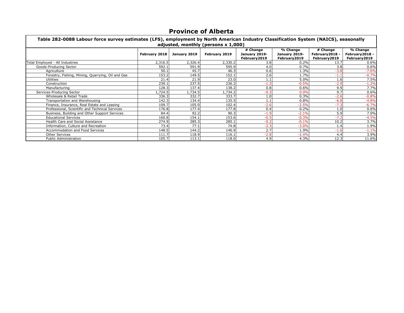| Table 282-0088 Labour force survey estimates (LFS), employment by North American Industry Classification System (NAICS), seasonally |                      |              | adjusted, monthly (persons x 1,000) |                                            |                                            |                                             |                                              |
|-------------------------------------------------------------------------------------------------------------------------------------|----------------------|--------------|-------------------------------------|--------------------------------------------|--------------------------------------------|---------------------------------------------|----------------------------------------------|
|                                                                                                                                     | <b>February 2018</b> | January 2019 | <b>February 2019</b>                | # Change<br>January 2019-<br>February 2019 | % Change<br>January 2019-<br>February 2019 | # Change<br>February2018 -<br>February 2019 | % Change<br>February 2018 -<br>February 2019 |
| Total Employed - All Industries                                                                                                     | 2,316.5              | 2,326.4      | 2,330.2                             | 3.8                                        | 0.2%                                       | 13.7                                        | 0.6%                                         |
| Goods-Producing Sector                                                                                                              | 592.1                | 591.9        | 595.9                               | 4.0                                        | 0.7%                                       | 3.8                                         | 0.6%                                         |
| Agriculture                                                                                                                         | 50.1                 | 45.7         | 46.3                                | 0.6                                        | 1.3%                                       | $-3.8$                                      | $-7.6%$                                      |
| Forestry, Fishing, Mining, Quarrying, Oil and Gas                                                                                   | 153.2                | 149.5        | 152.1                               | 2.6                                        | 1.7%                                       | $-1.1$                                      | $-0.7%$                                      |
| <b>Utilities</b>                                                                                                                    | 21.4                 | 21.9         | 23.0                                | 1.1                                        | 5.0%                                       | 1.6                                         | 7.5%                                         |
| Construction                                                                                                                        | 239.1                | 237.5        | 236.2                               | $-1.3$                                     | $-0.5%$                                    | $-2.9$                                      | $-1.2%$                                      |
| Manufacturing                                                                                                                       | 128.3                | 137.4        | 138.2                               | 0.8                                        | 0.6%                                       | 9.9                                         | 7.7%                                         |
| Services-Producing Sector                                                                                                           | 1,724.5              | L,734.5      | .,734.2                             | $-0.3$                                     | 0.0%                                       | 9.7                                         | 0.6%                                         |
| Wholesale & Retail Trade                                                                                                            | 336.3                | 332.7        | 333.7                               | 1.0                                        | 0.3%                                       | $-2.6$                                      | $-0.8%$                                      |
| Transportation and Warehousing                                                                                                      | 142.3                | 134.4        | 135.5                               | 1.1                                        | 0.8%                                       | $-6.8$                                      | $-4.8%$                                      |
| Finance, Insurance, Real Estate and Leasing                                                                                         | 109.7                | 105.0        | 102.4                               | $-2.6$                                     | $-2.5%$                                    | $-7.3$                                      | $-6.7%$                                      |
| Professional, Scientific and Technical Services                                                                                     | 176.8                | 177.4        | 177.8                               | 0.4                                        | 0.2%                                       | 1.0                                         | 0.6%                                         |
| Business, Building and Other Support Services                                                                                       | 84.4                 | 92.2         | 90.3                                | $-1.9$                                     | $-2.1%$                                    | 5.9                                         | 7.0%                                         |
| <b>Educational Services</b>                                                                                                         | 160.8                | 154.1        | 153.6                               | $-0.5$                                     | $-0.3%$                                    | $-7.2$                                      | $-4.5%$                                      |
| Health Care and Social Assistance                                                                                                   | 274.9                | 285.3        | 285.1                               | $-0.2$                                     | $-0.1%$                                    | 10.2                                        | 3.7%                                         |
| Information, Culture and Recreation                                                                                                 | 73.4                 | 77.1         | 74.8                                | $-2.3$                                     | $-3.0%$                                    | 1.4                                         | 1.9%                                         |
| Accommodation and Food Services                                                                                                     | 148.5                | 144.2        | 146.9                               | 2.7                                        | 1.9%                                       | $-1.6$                                      | $-1.1%$                                      |
| <b>Other Services</b>                                                                                                               | 111.7                | 118.9        | 116.1                               | $-2.8$                                     | $-2.4%$                                    | 4.4                                         | 3.9%                                         |
| <b>Public Administration</b>                                                                                                        | 105.7                | 113.1        | 118.0                               | 4.9                                        | 4.3%                                       | 12.3                                        | 11.6%                                        |

# **Province of Alberta**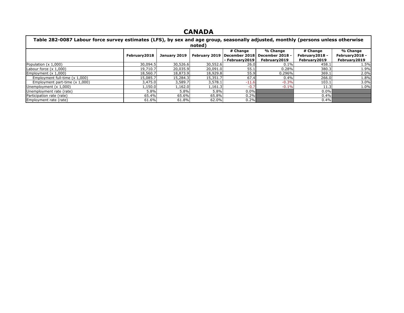| Table 282-0087 Labour force survey estimates (LFS), by sex and age group, seasonally adjusted, monthly (persons unless otherwise |               |                                  |          |                               |                 |                 |                |  |  |
|----------------------------------------------------------------------------------------------------------------------------------|---------------|----------------------------------|----------|-------------------------------|-----------------|-----------------|----------------|--|--|
| noted)                                                                                                                           |               |                                  |          |                               |                 |                 |                |  |  |
|                                                                                                                                  |               | # Change<br>% Change<br># Change |          |                               |                 |                 |                |  |  |
|                                                                                                                                  | February 2018 | January 2019                     |          | February 2019   December 2018 | December 2018 - | February 2018 - | February2018 - |  |  |
|                                                                                                                                  |               |                                  |          | - February 2019               | February2019    | February2019    | February2019   |  |  |
| Population $(x 1,000)$                                                                                                           | 30,094.5      | 30,526.6                         | 30,552.6 | 26.0                          | 0.1%            | 458.1           | 1.5%           |  |  |
| Labour force $(x 1,000)$                                                                                                         | 19,710.7      | 20,035.9                         | 20,091.0 | 55.1                          | 0.28%           | 380.3           | 1.9%           |  |  |
| Employment $(x 1,000)$                                                                                                           | 18,560.7      | 18,873.9                         | 18,929.8 | 55.9                          | 0.296%          | 369.1           | 2.0%           |  |  |
| Employment full-time (x 1,000)                                                                                                   | 15,085.7      | 15,284.3                         | 15,351.7 | 67.4                          | 0.4%            | 266.0           | 1.8%           |  |  |
| Employment part-time $(x 1,000)$                                                                                                 | 3,475.0       | 3,589.7                          | 3,578.1  | $-11.6$                       | $-0.3%$         | 103.1           | 3.0%           |  |  |
| Unemployment $(x 1,000)$                                                                                                         | 1,150.0       | 1,162.0                          | 1,161.3  | $-0.7$                        | $-0.1%$         | 11.3            | 1.0%           |  |  |
| Unemployment rate (rate)                                                                                                         | 5.8%          | 5.8%                             | 5.8%     | $0.0\%$                       |                 | $0.0\%$         |                |  |  |
| Participation rate (rate)                                                                                                        | 65.4%         | 65.6%                            | 65.8%    | $0.2\%$                       |                 | $0.4\%$         |                |  |  |
| Employment rate (rate)                                                                                                           | 61.6%         | 61.8%                            | 62.0%    | $0.2\%$                       |                 | $0.4\%$         |                |  |  |

#### **CANADA**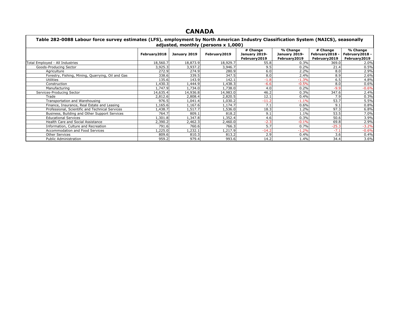### **CANADA**

| Table 282-0088 Labour force survey estimates (LFS), employment by North American Industry Classification System (NAICS), seasonally<br>adjusted, monthly (persons x 1,000) |              |              |              |                                            |                                            |                                              |                                             |  |
|----------------------------------------------------------------------------------------------------------------------------------------------------------------------------|--------------|--------------|--------------|--------------------------------------------|--------------------------------------------|----------------------------------------------|---------------------------------------------|--|
|                                                                                                                                                                            | February2018 | January 2019 | February2019 | # Change<br>January 2019-<br>February 2019 | % Change<br>January 2019-<br>February 2019 | # Change<br>February 2018 ·<br>February 2019 | % Change<br>February2018 -<br>February 2019 |  |
| Total Employed - All Industries                                                                                                                                            | 18,560.7     | 18,873.9     | 18,929.7     | 55.8                                       | 0.3%                                       | 369.0                                        | 2.0%                                        |  |
| Goods-Producing Sector                                                                                                                                                     | 3,925.3      | 3,937.2      | 3,946.7      | 9.5                                        | 0.2%                                       | 21.4                                         | 0.5%                                        |  |
| Agriculture                                                                                                                                                                | 272.9        | 274.9        | 280.9        | 6.0                                        | 2.2%                                       | 8.0                                          | 2.9%                                        |  |
| Forestry, Fishing, Mining, Quarrying, Oil and Gas                                                                                                                          | 338.6        | 339.5        | 347.5        | 8.0                                        | 2.4%                                       | 8.9                                          | 2.6%                                        |  |
| <b>Utilities</b>                                                                                                                                                           | 135.6        | 143.9        | 142.1        | $-1.8$                                     | $-1.3%$                                    | 6.5                                          | 4.8%                                        |  |
| Construction                                                                                                                                                               | L,430.3      | 1,444.9      | .438.3       | $-6.6$                                     | $-0.5%$                                    | 8.0                                          | 0.6%                                        |  |
| Manufacturing                                                                                                                                                              | 1,747.9      | 1,734.0      | .738.0       | 4.0                                        | 0.2%                                       | $-9.9$                                       | $-0.6%$                                     |  |
| Services-Producing Sector                                                                                                                                                  | 14,635.4     | 14,936.8     | 14,983.0     | 46.2                                       | 0.3%                                       | 347.6                                        | 2.4%                                        |  |
| Trade                                                                                                                                                                      | 2,812.6      | 2,808.4      | 2,820.5      | 12.1                                       | 0.4%                                       | 7.9                                          | 0.3%                                        |  |
| Transportation and Warehousing                                                                                                                                             | 976.5        | .041.4       | 1,030.2      | $-11.2$                                    | $-1.1%$                                    | 53.7                                         | 5.5%                                        |  |
| Finance, Insurance, Real Estate and Leasing                                                                                                                                | 1,165.6      | .,167.6      | 1,174.7      | 7.1                                        | 0.6%                                       | 9.1                                          | 0.8%                                        |  |
| Professional, Scientific and Technical Services                                                                                                                            | 1,438.7      | 1,517.7      | ,536.0       | 18.3                                       | 1.2%                                       | 97.3                                         | 6.8%                                        |  |
| Business, Building and Other Support Services                                                                                                                              | 764.7        | 809.1        | 818.2        | 9.1                                        | 1.1%                                       | 53.5                                         | 7.0%                                        |  |
| <b>Educational Services</b>                                                                                                                                                | 1,301.8      | L, 347.8     | 1,352.4      | 4.6                                        | 0.3%                                       | 50.6                                         | 3.9%                                        |  |
| Health Care and Social Assistance                                                                                                                                          | 2,390.2      | 2,462.3      | 2,460.0      | $-2.3$                                     | $-0.1%$                                    | 69.8                                         | 2.9%                                        |  |
| Information, Culture and Recreation                                                                                                                                        | 791.6        | 760.6        | 766.3        | 5.7                                        | 0.7%                                       | $-25.3$                                      | $-3.2%$                                     |  |
| Accommodation and Food Services                                                                                                                                            | 1,225.0      | ,232.1       | ,217.9       | $-14.2$                                    | $-1.2%$                                    | $-7.1$                                       | $-0.6%$                                     |  |
| <b>Other Services</b>                                                                                                                                                      | 809.6        | 810.3        | 813.2        | 2.9                                        | 0.4%                                       | 3.6                                          | 0.4%                                        |  |
| <b>Public Administration</b>                                                                                                                                               | 959.2        | 979.4        | 993.6        | 14.2                                       | 1.4%                                       | 34.4                                         | 3.6%                                        |  |

# **Table 282-0088 Labour force survey estimates (LFS), employment by North American Industry Classification System (NAICS), seasonally**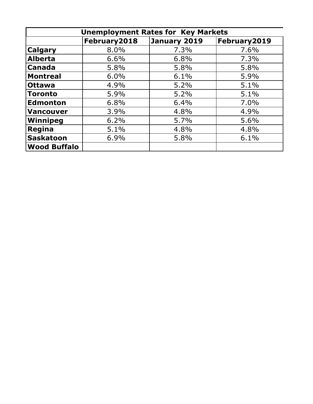| <b>Unemployment Rates for Key Markets</b> |              |              |               |  |  |  |  |  |  |
|-------------------------------------------|--------------|--------------|---------------|--|--|--|--|--|--|
|                                           | February2018 | January 2019 | February 2019 |  |  |  |  |  |  |
| <b>Calgary</b>                            | 8.0%         | 7.3%         | 7.6%          |  |  |  |  |  |  |
| Alberta                                   | 6.6%         | 6.8%         | 7.3%          |  |  |  |  |  |  |
| <b>Canada</b>                             | 5.8%         | 5.8%         | 5.8%          |  |  |  |  |  |  |
| <b>Montreal</b>                           | 6.0%         | 6.1%         | 5.9%          |  |  |  |  |  |  |
| <b>Ottawa</b>                             | 4.9%         | 5.2%         | 5.1%          |  |  |  |  |  |  |
| <b>Toronto</b>                            | 5.9%         | 5.2%         | 5.1%          |  |  |  |  |  |  |
| Edmonton                                  | 6.8%         | 6.4%         | 7.0%          |  |  |  |  |  |  |
| Vancouver                                 | 3.9%         | 4.8%         | 4.9%          |  |  |  |  |  |  |
| Winnipeg                                  | 6.2%         | 5.7%         | 5.6%          |  |  |  |  |  |  |
| Regina                                    | 5.1%         | 4.8%         | 4.8%          |  |  |  |  |  |  |
| Saskatoon                                 | 6.9%         | 5.8%         | 6.1%          |  |  |  |  |  |  |
| Wood Buffalo                              |              |              |               |  |  |  |  |  |  |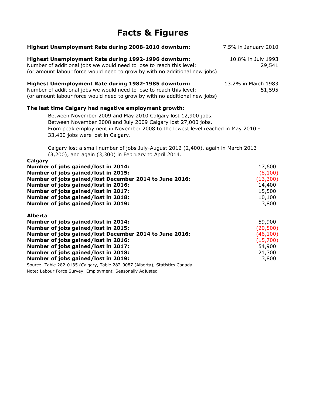## **Facts & Figures**

| Highest Unemployment Rate during 2008-2010 downturn:                                                                                                                                                       | 7.5% in January 2010          |
|------------------------------------------------------------------------------------------------------------------------------------------------------------------------------------------------------------|-------------------------------|
| Highest Unemployment Rate during 1992-1996 downturn:<br>Number of additional jobs we would need to lose to reach this level:<br>(or amount labour force would need to grow by with no additional new jobs) | 10.8% in July 1993<br>29,541  |
| Highest Unemployment Rate during 1982-1985 downturn:<br>Number of additional jobs we would need to lose to reach this level:<br>(or amount labour force would need to grow by with no additional new jobs) | 13.2% in March 1983<br>51,595 |
| The last time Calgary had negative employment growth:<br>Between November 2009 and May 2010 Calgary lost 12,900 jobs.                                                                                      |                               |
| Between November 2008 and July 2009 Calgary lost 27,000 jobs.<br>From peak employment in November 2008 to the lowest level reached in May 2010 -<br>33,400 jobs were lost in Calgary.                      |                               |
| Calgary lost a small number of jobs July-August 2012 (2,400), again in March 2013<br>(3,200), and again (3,300) in February to April 2014.                                                                 |                               |
| Calgary<br>Number of jobs gained/lost in 2014:                                                                                                                                                             | 17,600                        |
| Number of jobs gained/lost in 2015:                                                                                                                                                                        | (8, 100)                      |
| Number of jobs gained/lost December 2014 to June 2016:                                                                                                                                                     | (13, 300)                     |
| Number of jobs gained/lost in 2016:                                                                                                                                                                        | 14,400                        |
| Number of jobs gained/lost in 2017:                                                                                                                                                                        | 15,500                        |
| Number of jobs gained/lost in 2018:                                                                                                                                                                        | 10,100                        |
| Number of jobs gained/lost in 2019:                                                                                                                                                                        | 3,800                         |
| <b>Alberta</b>                                                                                                                                                                                             |                               |
| Number of jobs gained/lost in 2014:                                                                                                                                                                        | 59,900                        |
| Number of jobs gained/lost in 2015:                                                                                                                                                                        | (20, 500)                     |
| Number of jobs gained/lost December 2014 to June 2016:                                                                                                                                                     | (46, 100)                     |
| Number of jobs gained/lost in 2016:                                                                                                                                                                        | (15,700)                      |
| Number of jobs gained/lost in 2017:                                                                                                                                                                        | 54,900                        |
| Number of jobs gained/lost in 2018:                                                                                                                                                                        | 21,300                        |
| Number of jobs gained/lost in 2019:                                                                                                                                                                        | 3,800                         |
| Source: Table 282-0135 (Calgary, Table 282-0087 (Alberta), Statistics Canada                                                                                                                               |                               |

Note: Labour Force Survey, Employment, Seasonally Adjusted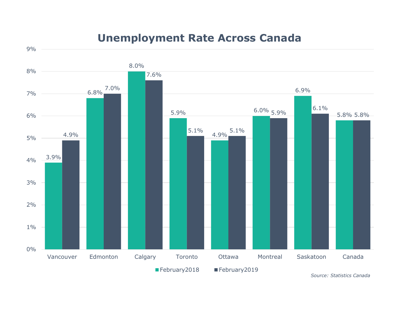#### **Unemployment Rate Across Canada**

9%



*Source: Statistics Canada*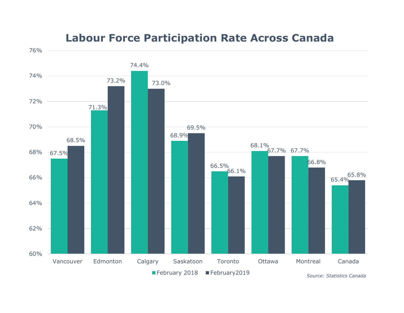#### **Labour Force Participation Rate Across Canada**

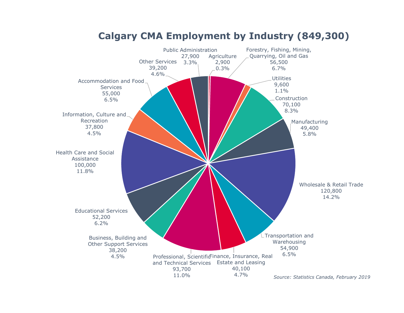

#### **Calgary CMA Employment by Industry (849,300)**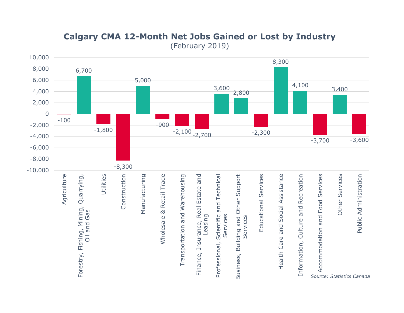

#### **Calgary CMA 12-Month Net Jobs Gained or Lost by Industry**  (February 2019)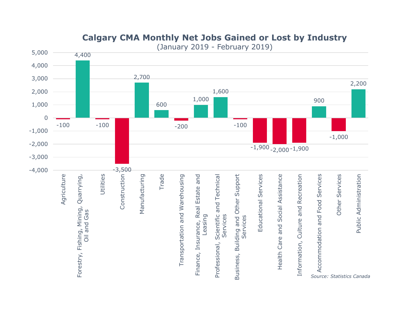

#### **Calgary CMA Monthly Net Jobs Gained or Lost by Industry**

(January 2019 - February 2019)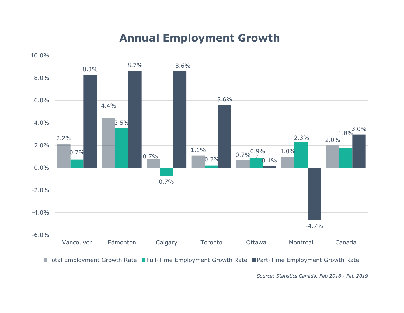#### **Annual Employment Growth**



■ Total Employment Growth Rate ■ Full-Time Employment Growth Rate ■ Part-Time Employment Growth Rate

*Source: Statistics Canada, Feb 2018 - Feb 2019*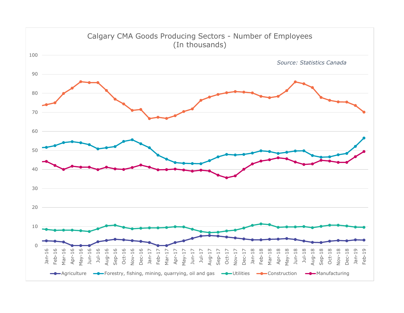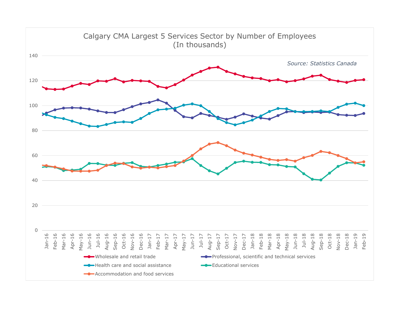